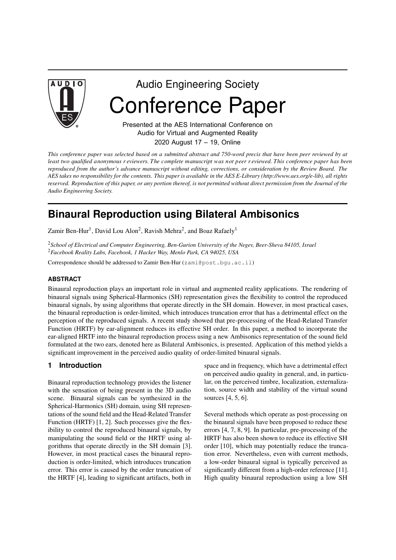

Audio Engineering Society Conference Paper

Presented at the AES International Conference on Audio for Virtual and Augmented Reality 2020 August 17 – 19, Online

This conference paper was selected based on a submitted abstract and 750-word precis that have been peer reviewed by at least two qualified anonymous r eviewers. The complete manuscript was not peer r eviewed. This conference paper has been reproduced from the author's advance manuscript without editing, corrections, or consideration by the Review Board. The AES takes no responsibility for the contents. This paper is available in the AES E-Library (http://www.aes.org/e-lib), all rights reserved. Reproduction of this paper, or any portion thereof, is not permitted without direct permission from the Journal of the *Audio Engineering Society.*

# **Binaural Reproduction using Bilateral Ambisonics**

Zamir Ben-Hur<sup>1</sup>, David Lou Alon<sup>2</sup>, Ravish Mehra<sup>2</sup>, and Boaz Rafaely<sup>1</sup>

<sup>2</sup>*School of Electrical and Computer Engineering, Ben-Gurion University of the Negev, Beer-Sheva 84105, Israel* <sup>2</sup>*Facebook Reality Labs, Facebook, 1 Hacker Way, Menlo Park, CA 94025, USA*

Correspondence should be addressed to Zamir Ben-Hur (zami@post.bgu.ac.il)

## **ABSTRACT**

Binaural reproduction plays an important role in virtual and augmented reality applications. The rendering of binaural signals using Spherical-Harmonics (SH) representation gives the flexibility to control the reproduced binaural signals, by using algorithms that operate directly in the SH domain. However, in most practical cases, the binaural reproduction is order-limited, which introduces truncation error that has a detrimental effect on the perception of the reproduced signals. A recent study showed that pre-processing of the Head-Related Transfer Function (HRTF) by ear-alignment reduces its effective SH order. In this paper, a method to incorporate the ear-aligned HRTF into the binaural reproduction process using a new Ambisonics representation of the sound field formulated at the two ears, denoted here as Bilateral Ambisonics, is presented. Application of this method yields a significant improvement in the perceived audio quality of order-limited binaural signals.

# **1 Introduction**

Binaural reproduction technology provides the listener with the sensation of being present in the 3D audio scene. Binaural signals can be synthesized in the Spherical-Harmonics (SH) domain, using SH representations of the sound field and the Head-Related Transfer Function (HRTF) [1, 2]. Such processes give the flexibility to control the reproduced binaural signals, by manipulating the sound field or the HRTF using algorithms that operate directly in the SH domain [3]. However, in most practical cases the binaural reproduction is order-limited, which introduces truncation error. This error is caused by the order truncation of the HRTF [4], leading to significant artifacts, both in

space and in frequency, which have a detrimental effect on perceived audio quality in general, and, in particular, on the perceived timbre, localization, externalization, source width and stability of the virtual sound sources [4, 5, 6].

Several methods which operate as post-processing on the binaural signals have been proposed to reduce these errors [4, 7, 8, 9]. In particular, pre-processing of the HRTF has also been shown to reduce its effective SH order [10], which may potentially reduce the truncation error. Nevertheless, even with current methods, a low-order binaural signal is typically perceived as significantly different from a high-order reference [11]. High quality binaural reproduction using a low SH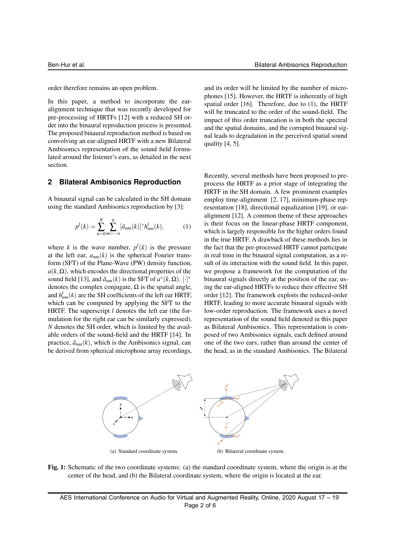order therefore remains an open problem.

In this paper, a method to incorporate the earalignment technique that was recently developed for pre-processing of HRTFs [12] with a reduced SH order into the binaural reproduction process is presented. The proposed binaural reproduction method is based on convolving an ear-aligned HRTF with a new Bilateral Ambisonics representation of the sound field formulated around the listener's ears, as detailed in the next section.

#### **2 Bilateral Ambisonics Reproduction**

A binaural signal can be calculated in the SH domain using the standard Ambisonics reproduction by [3]:

$$
p^{l}(k) = \sum_{n=0}^{N} \sum_{m=-n}^{n} [\tilde{a}_{nm}(k)]^{*} h_{nm}^{l}(k), \qquad (1)
$$

where *k* is the wave number,  $p^l(k)$  is the pressure at the left ear,  $a_{nm}(k)$  is the spherical Fourier transform (SFT) of the Plane-Wave (PW) density function,  $a(k, \Omega)$ , which encodes the directional properties of the sound field [13], and  $\tilde{a}_{nm}(k)$  is the SFT of  $a^*(k, \Omega)$ . [·]\* denotes the complex conjugate,  $\Omega$  is the spatial angle, and  $h_{nm}^l(k)$  are the SH coefficients of the left ear HRTF, which can be computed by applying the SFT to the HRTF. The superscript *l* denotes the left ear (the formulation for the right ear can be similarly expressed). *N* denotes the SH order, which is limited by the available orders of the sound-field and the HRTF [14]. In practice,  $\tilde{a}_{nm}(k)$ , which is the Ambisonics signal, can be derived from spherical microphone array recordings,

and its order will be limited by the number of microphones [15]. However, the HRTF is inherently of high spatial order [16]. Therefore, due to (1), the HRTF will be truncated to the order of the sound-field. The impact of this order truncation is in both the spectral and the spatial domains, and the corrupted binaural signal leads to degradation in the perceived spatial sound quality [4, 5].

Recently, several methods have been proposed to preprocess the HRTF as a prior stage of integrating the HRTF in the SH domain. A few prominent examples employ time-alignment [2, 17], minimum-phase representation [18], directional equalization [19], or earalignment [12]. A common theme of these approaches is their focus on the linear-phase HRTF component, which is largely responsible for the higher orders found in the true HRTF. A drawback of these methods lies in the fact that the pre-processed HRTF cannot participate in real time in the binaural signal computation, as a result of its interaction with the sound field. In this paper, we propose a framework for the computation of the binaural signals directly at the position of the ear, using the ear-aligned HRTFs to reduce their effective SH order [12]. The framework exploits the reduced-order HRTF, leading to more accurate binaural signals with low-order reproduction. The framework uses a novel representation of the sound field denoted in this paper as Bilateral Ambisonics. This representation is composed of two Ambisonics signals, each defined around one of the two ears, rather than around the center of the head, as in the standard Ambisonics. The Bilateral



Fig. 1: Schematic of the two coordinate systems: (a) the standard coordinate system, where the origin is at the center of the head, and (b) the Bilateral coordinate system, where the origin is located at the ear.

AES International Conference on Audio for Virtual and Augmented Reality, Online, 2020 August 17 – 19 Page 2 of 6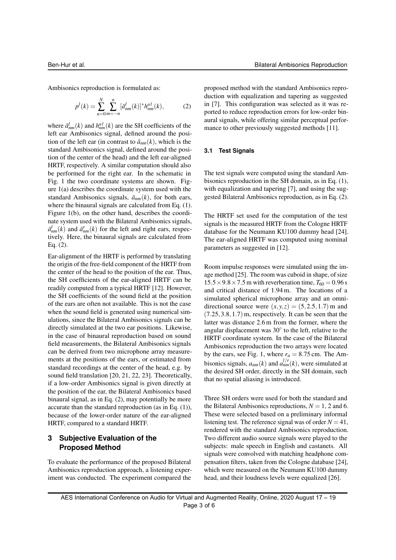Ambisonics reproduction is formulated as:

$$
p^{l}(k) = \sum_{n=0}^{N} \sum_{m=-n}^{n} [\tilde{a}^{l}_{nm}(k)]^{*} h^{al}_{nm}(k),
$$
 (2)

where  $\tilde{a}_{nm}^l(k)$  and  $h_{nm}^{al}(k)$  are the SH coefficients of the left ear Ambisonics signal, defined around the position of the left ear (in contrast to  $\tilde{a}_{nm}(k)$ , which is the standard Ambisonics signal, defined around the position of the center of the head) and the left ear-aligned HRTF, respectively. A similar computation should also be performed for the right ear. In the schematic in Fig. 1 the two coordinate systems are shown. Figure 1(a) describes the coordinate system used with the standard Ambisonics signals,  $\tilde{a}_{nm}(k)$ , for both ears, where the binaural signals are calculated from Eq. (1). Figure 1(b), on the other hand, describes the coordinate system used with the Bilateral Ambisonics signals,  $\tilde{a}_{nm}^l(k)$  and  $\tilde{a}_{nm}^r(k)$  for the left and right ears, respectively. Here, the binaural signals are calculated from Eq. (2).

Ear-alignment of the HRTF is performed by translating the origin of the free-field component of the HRTF from the center of the head to the position of the ear. Thus, the SH coefficients of the ear-aligned HRTF can be readily computed from a typical HRTF [12]. However, the SH coefficients of the sound field at the position of the ears are often not available. This is not the case when the sound field is generated using numerical simulations, since the Bilateral Ambisonics signals can be directly simulated at the two ear positions. Likewise, in the case of binaural reproduction based on sound field measurements, the Bilateral Ambisonics signals can be derived from two microphone array measurements at the positions of the ears, or estimated from standard recordings at the center of the head, e.g. by sound field translation [20, 21, 22, 23]. Theoretically, if a low-order Ambisonics signal is given directly at the position of the ear, the Bilateral Ambisonics based binaural signal, as in Eq. (2), may potentially be more accurate than the standard reproduction (as in Eq. (1)), because of the lower-order nature of the ear-aligned HRTF, compared to a standard HRTF.

# **3 Subjective Evaluation of the Proposed Method**

To evaluate the performance of the proposed Bilateral Ambisonics reproduction approach, a listening experiment was conducted. The experiment compared the

proposed method with the standard Ambisonics reproduction with equalization and tapering as suggested in [7]. This configuration was selected as it was reported to reduce reproduction errors for low-order binaural signals, while offering similar perceptual performance to other previously suggested methods [11].

#### **3.1 Test Signals**

The test signals were computed using the standard Ambisonics reproduction in the SH domain, as in Eq. (1), with equalization and tapering [7], and using the suggested Bilateral Ambisonics reproduction, as in Eq. (2).

The HRTF set used for the computation of the test signals is the measured HRTF from the Cologne HRTF database for the Neumann KU100 dummy head [24]. The ear-aligned HRTF was computed using nominal parameters as suggested in [12].

Room impulse responses were simulated using the image method [25]. The room was cuboid in shape, of size  $15.5 \times 9.8 \times 7.5$  m with reverberation time,  $T_{60} = 0.96$  s and critical distance of 1.94 m. The locations of a simulated spherical microphone array and an omnidirectional source were  $(x, y, z) = (5, 2.5, 1.7)$  m and  $(7.25, 3.8, 1.7)$  m, respectively. It can be seen that the latter was distance 2.6 m from the former, where the angular displacement was  $30^{\circ}$  to the left, relative to the HRTF coordinate system. In the case of the Bilateral Ambisonics reproduction the two arrays were located by the ears, see Fig. 1, where  $r_a = 8.75$  cm. The Ambisonics signals,  $a_{nm}(k)$  and  $a_{nm}^{l/r}(k)$ , were simulated at the desired SH order, directly in the SH domain, such that no spatial aliasing is introduced.

Three SH orders were used for both the standard and the Bilateral Ambisonics reproductions,  $N = 1$ , 2 and 6. These were selected based on a preliminary informal listening test. The reference signal was of order  $N = 41$ , rendered with the standard Ambisonics reproduction. Two different audio source signals were played to the subjects: male speech in English and castanets. All signals were convolved with matching headphone compensation filters, taken from the Cologne database [24], which were measured on the Neumann KU100 dummy head, and their loudness levels were equalized [26].

AES International Conference on Audio for Virtual and Augmented Reality, Online, 2020 August 17 – 19 Page 3 of 6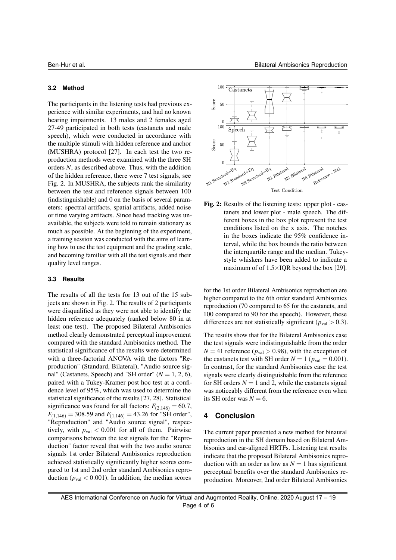#### **3.2 Method**

The participants in the listening tests had previous experience with similar experiments, and had no known hearing impairments. 13 males and 2 females aged 27-49 participated in both tests (castanets and male speech), which were conducted in accordance with the multiple stimuli with hidden reference and anchor (MUSHRA) protocol [27]. In each test the two reproduction methods were examined with the three SH orders *N*, as described above. Thus, with the addition of the hidden reference, there were 7 test signals, see Fig. 2. In MUSHRA, the subjects rank the similarity between the test and reference signals between 100 (indistinguishable) and 0 on the basis of several parameters: spectral artifacts, spatial artifacts, added noise or time varying artifacts. Since head tracking was unavailable, the subjects were told to remain stationary as much as possible. At the beginning of the experiment, a training session was conducted with the aims of learning how to use the test equipment and the grading scale, and becoming familiar with all the test signals and their quality level ranges.

#### **3.3 Results**

The results of all the tests for 13 out of the 15 subjects are shown in Fig. 2. The results of 2 participants were disqualified as they were not able to identify the hidden reference adequately (ranked below 80 in at least one test). The proposed Bilateral Ambisonics method clearly demonstrated perceptual improvement compared with the standard Ambisonics method. The statistical significance of the results were determined with a three-factorial ANOVA with the factors "Reproduction" (Standard, Bilateral), "Audio source signal" (Castanets, Speech) and "SH order"  $(N = 1, 2, 6)$ , paired with a Tukey-Kramer post hoc test at a confidence level of 95%, which was used to determine the statistical significance of the results [27, 28]. Statistical significance was found for all factors:  $F_{(2,146)} = 60.7$ ,  $F_{(1,146)} = 308.59$  and  $F_{(1,146)} = 43.26$  for "SH order", "Reproduction" and "Audio source signal", respectively, with  $p_{val} < 0.001$  for all of them. Pairwise comparisons between the test signals for the "Reproduction" factor reveal that with the two audio source signals 1st order Bilateral Ambisonics reproduction achieved statistically significantly higher scores compared to 1st and 2nd order standard Ambisonics reproduction ( $p_{val} < 0.001$ ). In addition, the median scores



Fig. 2: Results of the listening tests: upper plot - castanets and lower plot - male speech. The different boxes in the box plot represent the test conditions listed on the x axis. The notches in the boxes indicate the 95% confidence interval, while the box bounds the ratio between the interquartile range and the median. Tukeystyle whiskers have been added to indicate a maximum of of  $1.5 \times IQR$  beyond the box [29].

for the 1st order Bilateral Ambisonics reproduction are higher compared to the 6th order standard Ambisonics reproduction (70 compared to 65 for the castanets, and 100 compared to 90 for the speech). However, these differences are not statistically significant ( $p_{val} > 0.3$ ).

The results show that for the Bilateral Ambisonics case the test signals were indistinguishable from the order  $N = 41$  reference ( $p_{val} > 0.98$ ), with the exception of the castanets test with SH order  $N = 1$  ( $p_{val} = 0.001$ ). In contrast, for the standard Ambisonics case the test signals were clearly distinguishable from the reference for SH orders  $N = 1$  and 2, while the castanets signal was noticeably different from the reference even when its SH order was  $N = 6$ .

## **4 Conclusion**

The current paper presented a new method for binaural reproduction in the SH domain based on Bilateral Ambisonics and ear-aligned HRTFs. Listening test results indicate that the proposed Bilateral Ambisonics reproduction with an order as low as  $N = 1$  has significant perceptual benefits over the standard Ambisonics reproduction. Moreover, 2nd order Bilateral Ambisonics

AES International Conference on Audio for Virtual and Augmented Reality, Online, 2020 August 17 – 19 Page 4 of 6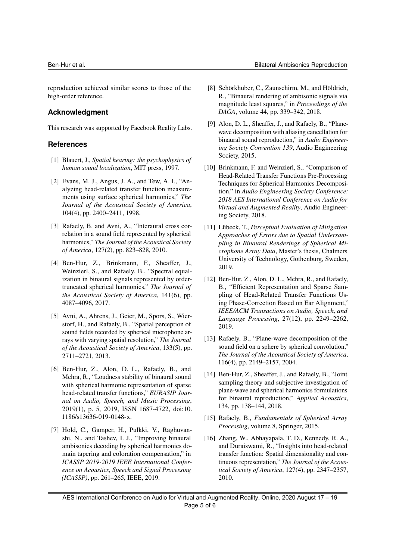reproduction achieved similar scores to those of the high-order reference.

## **Acknowledgment**

This research was supported by Facebook Reality Labs.

## **References**

- [1] Blauert, J., *Spatial hearing: the psychophysics of human sound localization*, MIT press, 1997.
- [2] Evans, M. J., Angus, J. A., and Tew, A. I., "Analyzing head-related transfer function measurements using surface spherical harmonics," *The Journal of the Acoustical Society of America*, 104(4), pp. 2400–2411, 1998.
- [3] Rafaely, B. and Avni, A., "Interaural cross correlation in a sound field represented by spherical harmonics," *The Journal of the Acoustical Society of America*, 127(2), pp. 823–828, 2010.
- [4] Ben-Hur, Z., Brinkmann, F., Sheaffer, J., Weinzierl, S., and Rafaely, B., "Spectral equalization in binaural signals represented by ordertruncated spherical harmonics," *The Journal of the Acoustical Society of America*, 141(6), pp. 4087–4096, 2017.
- [5] Avni, A., Ahrens, J., Geier, M., Spors, S., Wierstorf, H., and Rafaely, B., "Spatial perception of sound fields recorded by spherical microphone arrays with varying spatial resolution," *The Journal of the Acoustical Society of America*, 133(5), pp. 2711–2721, 2013.
- [6] Ben-Hur, Z., Alon, D. L., Rafaely, B., and Mehra, R., "Loudness stability of binaural sound with spherical harmonic representation of sparse head-related transfer functions," *EURASIP Journal on Audio, Speech, and Music Processing*, 2019(1), p. 5, 2019, ISSN 1687-4722, doi:10. 1186/s13636-019-0148-x.
- [7] Hold, C., Gamper, H., Pulkki, V., Raghuvanshi, N., and Tashev, I. J., "Improving binaural ambisonics decoding by spherical harmonics domain tapering and coloration compensation," in *ICASSP 2019-2019 IEEE International Conference on Acoustics, Speech and Signal Processing (ICASSP)*, pp. 261–265, IEEE, 2019.
- [8] Schörkhuber, C., Zaunschirm, M., and Höldrich, R., "Binaural rendering of ambisonic signals via magnitude least squares," in *Proceedings of the DAGA*, volume 44, pp. 339–342, 2018.
- [9] Alon, D. L., Sheaffer, J., and Rafaely, B., "Planewave decomposition with aliasing cancellation for binaural sound reproduction," in *Audio Engineering Society Convention 139*, Audio Engineering Society, 2015.
- [10] Brinkmann, F. and Weinzierl, S., "Comparison of Head-Related Transfer Functions Pre-Processing Techniques for Spherical Harmonics Decomposition," in *Audio Engineering Society Conference: 2018 AES International Conference on Audio for Virtual and Augmented Reality*, Audio Engineering Society, 2018.
- [11] Lübeck, T., *Perceptual Evaluation of Mitigation Approaches of Errors due to Spatial Undersampling in Binaural Renderings of Spherical Microphone Array Data*, Master's thesis, Chalmers University of Technology, Gothenburg, Sweden, 2019.
- [12] Ben-Hur, Z., Alon, D. L., Mehra, R., and Rafaely, B., "Efficient Representation and Sparse Sampling of Head-Related Transfer Functions Using Phase-Correction Based on Ear Alignment," *IEEE/ACM Transactions on Audio, Speech, and Language Processing*, 27(12), pp. 2249–2262, 2019.
- [13] Rafaely, B., "Plane-wave decomposition of the sound field on a sphere by spherical convolution." *The Journal of the Acoustical Society of America*, 116(4), pp. 2149–2157, 2004.
- [14] Ben-Hur, Z., Sheaffer, J., and Rafaely, B., "Joint sampling theory and subjective investigation of plane-wave and spherical harmonics formulations for binaural reproduction," *Applied Acoustics*, 134, pp. 138–144, 2018.
- [15] Rafaely, B., *Fundamentals of Spherical Array Processing*, volume 8, Springer, 2015.
- [16] Zhang, W., Abhayapala, T. D., Kennedy, R. A., and Duraiswami, R., "Insights into head-related transfer function: Spatial dimensionality and continuous representation," *The Journal of the Acoustical Society of America*, 127(4), pp. 2347–2357, 2010.

AES International Conference on Audio for Virtual and Augmented Reality, Online, 2020 August 17 – 19 Page 5 of 6